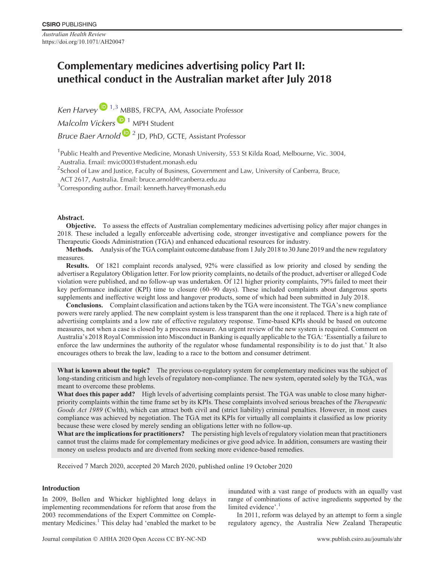*Australian Health Review* https://doi.org/10.1071/AH20047

# **Complementary medicines advertising policy Part II: unethical conduct in the Australian market after July 2018**

*Ken Harvey*  $\mathbf{D}^{1,3}$  $\mathbf{D}^{1,3}$  $\mathbf{D}^{1,3}$  MBBS, FRCPA, AM, Associate Professor

*Malcolm Vickers* <sup>1</sup> MPH Student

*Bruce Baer Arnold* <sup>1</sup> 2 JD, PhD, GCTE, Assistant Professor

<sup>1</sup> Public Health and Preventive Medicine, Monash University, 553 St Kilda Road, Melbourne, Vic. 3004, Australia. Email: mvic0003@student.monash.edu

 $^2$ School of Law and Justice, Faculty of Business, Government and Law, University of Canberra, Bruce,

ACT 2617, Australia. Email: bruce.arnold@canberra.edu.au

 $3$ Corresponding author. Email: kenneth.harvey@monash.edu

# **Abstract.**

**Objective.** To assess the effects of Australian complementary medicines advertising policy after major changes in 2018. These included a legally enforceable advertising code, stronger investigative and compliance powers for the Therapeutic Goods Administration (TGA) and enhanced educational resources for industry.

**Methods.** Analysis of the TGA complaint outcome database from 1 July 2018 to 30 June 2019 and the new regulatory measures.

**Results.** Of 1821 complaint records analysed, 92% were classified as low priority and closed by sending the advertiser a Regulatory Obligation letter. For low priority complaints, no details of the product, advertiser or alleged Code violation were published, and no follow-up was undertaken. Of 121 higher priority complaints, 79% failed to meet their key performance indicator (KPI) time to closure (60–90 days). These included complaints about dangerous sports supplements and ineffective weight loss and hangover products, some of which had been submitted in July 2018.

**Conclusions.** Complaint classification and actions taken by the TGA were inconsistent. The TGA's new compliance powers were rarely applied. The new complaint system is less transparent than the one it replaced. There is a high rate of advertising complaints and a low rate of effective regulatory response. Time-based KPIs should be based on outcome measures, not when a case is closed by a process measure. An urgent review of the new system is required. Comment on Australia's 2018 Royal Commission into Misconduct in Banking is equally applicable to the TGA: 'Essentially a failure to enforce the law undermines the authority of the regulator whose fundamental responsibility is to do just that.' It also encourages others to break the law, leading to a race to the bottom and consumer detriment.

**What is known about the topic?** The previous co-regulatory system for complementary medicines was the subject of long-standing criticism and high levels of regulatory non-compliance. The new system, operated solely by the TGA, was meant to overcome these problems.

**What does this paper add?** High levels of advertising complaints persist. The TGA was unable to close many higherpriority complaints within the time frame set by its KPIs. These complaints involved serious breaches of the *Therapeutic Goods Act 1989* (Cwlth), which can attract both civil and (strict liability) criminal penalties. However, in most cases compliance was achieved by negotiation. The TGA met its KPIs for virtually all complaints it classified as low priority because these were closed by merely sending an obligations letter with no follow-up.

**What are the implications for practitioners?** The persisting high levels of regulatory violation mean that practitioners cannot trust the claims made for complementary medicines or give good advice. In addition, consumers are wasting their money on useless products and are diverted from seeking more evidence-based remedies.

Received 7 March 2020, accepted 20 March 2020, published online 19 October 2020

# **Introduction**

In 2009, Bollen and Whicker highlighted long delays in implementing recommendations for reform that arose from the 2003 recommendations of the Expert Committee on Comple-mentary Medicines.<sup>[1](#page-4-0)</sup> This delay had 'enabled the market to be inundated with a vast range of products with an equally vast range of combinations of active ingredients supported by the limited evidence'.<sup>1</sup>

In 2011, reform was delayed by an attempt to form a single regulatory agency, the Australia New Zealand Therapeutic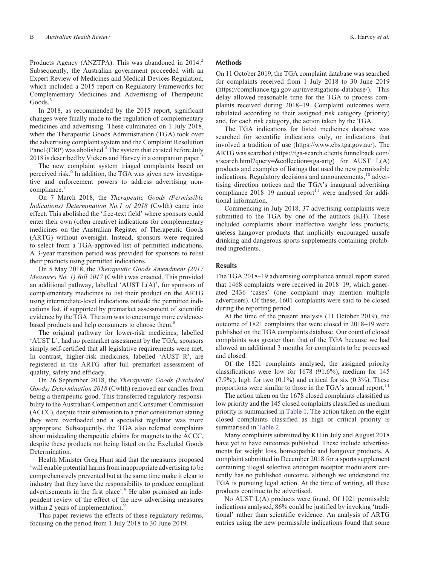Products Agency (ANZTPA). This was abandoned in 2014.<sup>2</sup> Subsequently, the Australian government proceeded with an Expert Review of Medicines and Medical Devices Regulation, which included a 2015 report on Regulatory Frameworks for Complementary Medicines and Advertising of Therapeutic Goods.<sup>3</sup>

In 2018, as recommended by the 2015 report, significant changes were finally made to the regulation of complementary medicines and advertising. These culminated on 1 July 2018, when the Therapeutic Goods Administration (TGA) took over the advertising complaint system and the Complaint Resolution Panel (CRP) was abolished.<sup>[4](#page-4-0)</sup> The system that existed before July 2018 is described by Vickers and Harvey in a companion paper. $\frac{5}{5}$ 

The new complaint system triaged complaints based on perceived risk.<sup>[6](#page-4-0)</sup> In addition, the TGA was given new investigative and enforcement powers to address advertising non-compliance.<sup>[7](#page-4-0)</sup>

On 7 March 2018, the *Therapeutic Goods (Permissible Indications) Determination No.1 of 2018* (Cwlth) came into effect. This abolished the 'free-text field' where sponsors could enter their own (often creative) indications for complementary medicines on the Australian Register of Therapeutic Goods (ARTG) without oversight. Instead, sponsors were required to select from a TGA-approved list of permitted indications. A 3-year transition period was provided for sponsors to relist their products using permitted indications.

On 5 May 2018, the *Therapeutic Goods Amendment (2017 Measures No. 1) Bill 2017* (Cwlth) was enacted. This provided an additional pathway, labelled 'AUST L(A)', for sponsors of complementary medicines to list their product on the ARTG using intermediate-level indications outside the permitted indications list, if supported by premarket assessment of scientific evidence by the TGA. The aim was to encourage more evidencebased products and help consumers to choose them.<sup>8</sup>

The original pathway for lower-risk medicines, labelled 'AUST L', had no premarket assessment by the TGA; sponsors simply self-certified that all legislative requirements were met. In contrast, higher-risk medicines, labelled 'AUST R', are registered in the ARTG after full premarket assessment of quality, safety and efficacy.

On 26 September 2018, the *Therapeutic Goods (Excluded Goods) Determination 2018* (Cwlth) removed ear candles from being a therapeutic good. This transferred regulatory responsibility to the Australian Competition and Consumer Commission (ACCC), despite their submission to a prior consultation stating they were overloaded and a specialist regulator was more appropriate. Subsequently, the TGA also referred complaints about misleading therapeutic claims for magnets to the ACCC, despite these products not being listed on the Excluded Goods Determination.

Health Minister Greg Hunt said that the measures proposed 'will enable potential harms from inappropriate advertising to be comprehensively prevented but at the same time make it clear to industry that they have the responsibility to produce compliant advertisements in the first place'.<sup>[9](#page-4-0)</sup> He also promised an independent review of the effect of the new advertising measures within 2 years of implementation.<sup>[9](#page-4-0)</sup>

This paper reviews the effects of these regulatory reforms, focusing on the period from 1 July 2018 to 30 June 2019.

#### **Methods**

On 11 October 2019, the TGA complaint database was searched for complaints received from 1 July 2018 to 30 June 2019 ([https://compliance.tga.gov.au/investigations-database/\)](https://compliance.tga.gov.au/investigations-database/). This delay allowed reasonable time for the TGA to process complaints received during 2018–19. Complaint outcomes were tabulated according to their assigned risk category (priority) and, for each risk category, the action taken by the TGA.

The TGA indications for listed medicines database was searched for scientific indications only, or indications that involved a tradition of use ([https://www.ebs.tga.gov.au/\)](https://www.ebs.tga.gov.au/). The ARTG was searched [\(https://tga-search.clients.funnelback.com/](https://tga-search.clients.funnelback.com/s/search.html?query=&collection=tga-artg) [s/search.html?query=&collection=tga-artg](https://tga-search.clients.funnelback.com/s/search.html?query=&collection=tga-artg)) for AUST L(A) products and examples of listings that used the new permissible indications. Regulatory decisions and announcements,<sup>10</sup> advertising direction notices and the TGA's inaugural advertising compliance 2018–19 annual report $11$  were analysed for additional information.

Commencing in July 2018, 37 advertising complaints were submitted to the TGA by one of the authors (KH). These included complaints about ineffective weight loss products, useless hangover products that implicitly encouraged unsafe drinking and dangerous sports supplements containing prohibited ingredients.

# **Results**

The TGA 2018–19 advertising compliance annual report stated that 1468 complaints were received in 2018–19, which generated 2436 'cases' (one complaint may mention multiple advertisers). Of these, 1601 complaints were said to be closed during the reporting period.

At the time of the present analysis (11 October 2019), the outcome of 1821 complaints that were closed in 2018–19 were published on the TGA complaints database. Our count of closed complaints was greater than that of the TGA because we had allowed an additional 3 months for complaints to be processed and closed.

Of the 1821 complaints analysed, the assigned priority classifications were low for 1678 (91.6%), medium for 145  $(7.9\%)$ , high for two  $(0.1\%)$  and critical for six  $(0.3\%)$ . These proportions were similar to those in the TGA's annual report.<sup>[11](#page-4-0)</sup>

The action taken on the 1678 closed complaints classified as low priority and the 145 closed complaints classified as medium priority is summarised in [Table 1.](#page-2-0) The action taken on the eight closed complaints classified as high or critical priority is summarised in [Table 2.](#page-2-0)

Many complaints submitted by KH in July and August 2018 have yet to have outcomes published. These include advertisements for weight loss, homeopathic and hangover products. A complaint submitted in December 2018 for a sports supplement containing illegal selective androgen receptor modulators currently has no published outcome, although we understand the TGA is pursuing legal action. At the time of writing, all these products continue to be advertised.

No AUST L(A) products were found. Of 1021 permissible indications analysed, 86% could be justified by invoking 'traditional' rather than scientific evidence. An analysis of ARTG entries using the new permissible indications found that some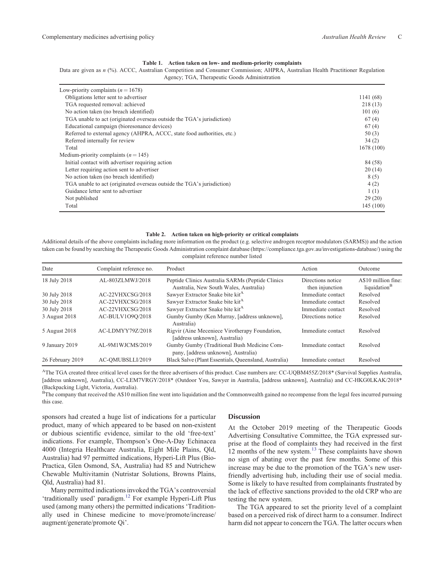#### **Table 1. Action taken on low- and medium-priority complaints**

<span id="page-2-0"></span>Data are given as *n* (%). ACCC, Australian Competition and Consumer Commission; AHPRA, Australian Health Practitioner Regulation Agency; TGA, Therapeutic Goods Administration

| Low-priority complaints ( $n = 1678$ )                                  |           |
|-------------------------------------------------------------------------|-----------|
| Obligations letter sent to advertiser                                   | 1141 (68) |
| TGA requested removal: achieved                                         | 218(13)   |
| No action taken (no breach identified)                                  | 101(6)    |
| TGA unable to act (originated overseas outside the TGA's jurisdiction)  | 67(4)     |
| Educational campaign (bioresonance devices)                             | 67(4)     |
| Referred to external agency (AHPRA, ACCC, state food authorities, etc.) | 50(3)     |
| Referred internally for review                                          | 34(2)     |
| Total                                                                   | 1678(100) |
| Medium-priority complaints $(n = 145)$                                  |           |
| Initial contact with advertiser requiring action                        | 84 (58)   |
| Letter requiring action sent to advertiser                              | 20(14)    |
| No action taken (no breach identified)                                  | 8(5)      |
| TGA unable to act (originated overseas outside the TGA's jurisdiction)  | 4(2)      |
| Guidance letter sent to advertiser                                      | 1(1)      |
| Not published                                                           | 29(20)    |
| Total                                                                   | 145(100)  |

#### **Table 2. Action taken on high-priority or critical complaints**

Additional details of the above complaints including more information on the product (e.g. selective androgen receptor modulators (SARMS)) and the action taken can be found by searching the Therapeutic Goods Administration complaint database [\(https://compliance.tga.gov.au/investigations-database/](https://compliance.tga.gov.au/investigations-database/)) using the complaint reference number listed

| Date             | Complaint reference no. | Product                                                                                    | Action                               | Outcome                                         |
|------------------|-------------------------|--------------------------------------------------------------------------------------------|--------------------------------------|-------------------------------------------------|
| 18 July 2018     | AL-803ZLMWJ/2018        | Peptide Clinics Australia SARMs (Peptide Clinics<br>Australia, New South Wales, Australia) | Directions notice<br>then injunction | A\$10 million fine:<br>liquidation <sup>B</sup> |
| 30 July 2018     | $AC-22VHXCSG/2018$      | Sawyer Extractor Snake bite kit <sup>A</sup>                                               | Immediate contact                    | Resolved                                        |
| 30 July 2018     | $AC-22VHXCSG/2018$      | Sawyer Extractor Snake bite kit <sup>A</sup>                                               | Immediate contact                    | Resolved                                        |
| 30 July 2018     | AC-22VHXCSG/2018        | Sawyer Extractor Snake bite kit <sup>A</sup>                                               | Immediate contact                    | Resolved                                        |
| 3 August 2018    | AC-BULV1090/2018        | Gumby Gumby (Ken Murray, [address unknown],<br>Australia)                                  | Directions notice                    | Resolved                                        |
| 5 August 2018    | AC-LDMYY79Z/2018        | Rigvir (Aine Meceniece Virotherapy Foundation,<br>[address unknown], Australia)            | Immediate contact                    | Resolved                                        |
| 9 January 2019   | AL-9M1WJCMS/2019        | Gumby Gumby (Traditional Bush Medicine Com-<br>pany, [address unknown], Australia)         | Immediate contact                    | Resolved                                        |
| 26 February 2019 | AC-OMUBSLLI/2019        | Black Salve (Plant Essentials, Queensland, Australia)                                      | Immediate contact                    | Resolved                                        |

AThe TGA created three critical level cases for the three advertisers of this product. Case numbers are: CC-UQBM455Z/2018\* (Survival Supplies Australia, [address unknown], Australia), CC-LEM7VRGY/2018\* (Outdoor You, Sawyer in Australia, [address unknown], Australia) and CC-HKG0LKAK/2018\* (Backpacking Light, Victoria, Australia).

<sup>B</sup>The company that received the A\$10 million fine went into liquidation and the Commonwealth gained no recompense from the legal fees incurred pursuing this case.

sponsors had created a huge list of indications for a particular product, many of which appeared to be based on non-existent or dubious scientific evidence, similar to the old 'free-text' indications. For example, Thompson's One-A-Day Echinacea 4000 (Integria Healthcare Australia, Eight Mile Plains, Qld, Australia) had 97 permitted indications, Hyperi-Lift Plus (Bio-Practica, Glen Osmond, SA, Australia) had 85 and Nutrichew Chewable Multivitamin (Nutristar Solutions, Browns Plains, Qld, Australia) had 81.

Many permitted indications invoked the TGA's controversial 'traditionally used' paradigm.[12](#page-4-0) For example Hyperi-Lift Plus used (among many others) the permitted indications 'Traditionally used in Chinese medicine to move/promote/increase/ augment/generate/promote Qi'.

# **Discussion**

At the October 2019 meeting of the Therapeutic Goods Advertising Consultative Committee, the TGA expressed surprise at the flood of complaints they had received in the first  $12$  months of the new system.<sup>[13](#page-4-0)</sup> These complaints have shown no sign of abating over the past few months. Some of this increase may be due to the promotion of the TGA's new userfriendly advertising hub, including their use of social media. Some is likely to have resulted from complainants frustrated by the lack of effective sanctions provided to the old CRP who are testing the new system.

The TGA appeared to set the priority level of a complaint based on a perceived risk of direct harm to a consumer. Indirect harm did not appear to concern the TGA. The latter occurs when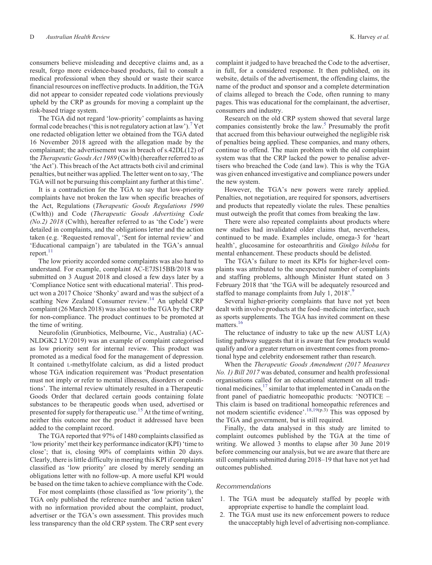consumers believe misleading and deceptive claims and, as a result, forgo more evidence-based products, fail to consult a medical professional when they should or waste their scarce financial resources on ineffective products. In addition, the TGA did not appear to consider repeated code violations previously upheld by the CRP as grounds for moving a complaint up the risk-based triage system.

The TGA did not regard 'low-priority' complaints as having formal code breaches ('this is not regulatory action at law').<sup>[7](#page-4-0)</sup> Yet one redacted obligation letter we obtained from the TGA dated 16 November 2018 agreed with the allegation made by the complainant; the advertisement was in breach of s.42DL(12) of the *Therapeutic Goods Act 1989* (Cwlth) (hereafter referred to as 'the Act'). This breach of the Act attracts both civil and criminal penalties, but neither was applied. The letter went on to say, 'The TGA will not be pursuing this complaint any further at this time'.

It is a contradiction for the TGA to say that low-priority complaints have not broken the law when specific breaches of the Act, Regulations (*Therapeutic Goods Regulations 1990* (Cwlth)) and Code (*Therapeutic Goods Advertising Code (No.2) 2018* (Cwlth), hereafter referred to as 'the Code') were detailed in complaints, and the obligations letter and the action taken (e.g. 'Requested removal', 'Sent for internal review' and 'Educational campaign') are tabulated in the TGA's annual report. $11$ 

The low priority accorded some complaints was also hard to understand. For example, complaint AC-E7JS15BB/2018 was submitted on 3 August 2018 and closed a few days later by a 'Compliance Notice sent with educational material'. This product won a 2017 Choice 'Shonky' award and was the subject of a scathing New Zealand Consumer review.<sup>[14](#page-4-0)</sup> An upheld CRP complaint (26 March 2018) was also sent to the TGA by the CRP for non-compliance. The product continues to be promoted at the time of writing.

Neurofolin (Grunbiotics, Melbourne, Vic., Australia) (AC-NLDGK2 LY/2019) was an example of complaint categorised as low priority sent for internal review. This product was promoted as a medical food for the management of depression. It contained L-methylfolate calcium, as did a listed product whose TGA indication requirement was 'Product presentation must not imply or refer to mental illnesses, disorders or conditions'. The internal review ultimately resulted in a Therapeutic Goods Order that declared certain goods containing folate substances to be therapeutic goods when used, advertised or presented for supply for therapeutic use.<sup>[15](#page-4-0)</sup> At the time of writing, neither this outcome nor the product it addressed have been added to the complaint record.

The TGA reported that 97% of 1480 complaints classified as 'low priority' met their key performance indicator (KPI) 'time to close'; that is, closing 90% of complaints within 20 days. Clearly, there is little difficulty in meeting this KPI if complaints classified as 'low priority' are closed by merely sending an obligations letter with no follow-up. A more useful KPI would be based on the time taken to achieve compliance with the Code.

For most complaints (those classified as 'low priority'), the TGA only published the reference number and 'action taken' with no information provided about the complaint, product, advertiser or the TGA's own assessment. This provides much less transparency than the old CRP system. The CRP sent every

complaint it judged to have breached the Code to the advertiser, in full, for a considered response. It then published, on its website, details of the advertisement, the offending claims, the name of the product and sponsor and a complete determination of claims alleged to breach the Code, often running to many pages. This was educational for the complainant, the advertiser, consumers and industry.

Research on the old CRP system showed that several large companies consistently broke the law[.5](#page-4-0) Presumably the profit that accrued from this behaviour outweighed the negligible risk of penalties being applied. These companies, and many others, continue to offend. The main problem with the old complaint system was that the CRP lacked the power to penalise advertisers who breached the Code (and law). This is why the TGA was given enhanced investigative and compliance powers under the new system.

However, the TGA's new powers were rarely applied. Penalties, not negotiation, are required for sponsors, advertisers and products that repeatedly violate the rules. These penalties must outweigh the profit that comes from breaking the law.

There were also repeated complaints about products where new studies had invalidated older claims that, nevertheless, continued to be made. Examples include, omega-3 for 'heart health', glucosamine for osteoarthritis and *Ginkgo biloba* for mental enhancement. These products should be delisted.

The TGA's failure to meet its KPIs for higher-level complaints was attributed to the unexpected number of complaints and staffing problems, although Minister Hunt stated on 3 February 2018 that 'the TGA will be adequately resourced and staffed to manage complaints from July 1, 2018'.<sup>[9](#page-4-0)</sup>

Several higher-priority complaints that have not yet been dealt with involve products at the food–medicine interface, such as sports supplements. The TGA has invited comment on these matters.<sup>[16](#page-4-0)</sup>

The reluctance of industry to take up the new AUST L(A) listing pathway suggests that it is aware that few products would qualify and/or a greater return on investment comes from promotional hype and celebrity endorsement rather than research.

When the *Therapeutic Goods Amendment (2017 Measures No. 1) Bill 2017* was debated, consumer and health professional organisations called for an educational statement on all traditional medicines, $17 \sin \theta$  $17 \sin \theta$  to that implemented in Canada on the front panel of paediatric homeopathic products: 'NOTICE – This claim is based on traditional homeopathic references and not modern scientific evidence'.<sup>18,19(p.3)</sup> This was opposed by the TGA and government, but is still required.

Finally, the data analysed in this study are limited to complaint outcomes published by the TGA at the time of writing. We allowed 3 months to elapse after 30 June 2019 before commencing our analysis, but we are aware that there are still complaints submitted during 2018–19 that have not yet had outcomes published.

# *Recommendations*

- 1. The TGA must be adequately staffed by people with appropriate expertise to handle the complaint load.
- 2. The TGA must use its new enforcement powers to reduce the unacceptably high level of advertising non-compliance.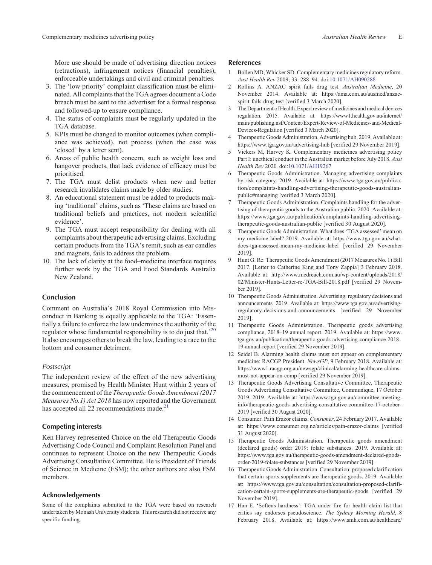<span id="page-4-0"></span>More use should be made of advertising direction notices (retractions), infringement notices (financial penalties), enforceable undertakings and civil and criminal penalties.

- 3. The 'low priority' complaint classification must be eliminated. All complaints that the TGA agrees document a Code breach must be sent to the advertiser for a formal response and followed-up to ensure compliance.
- 4. The status of complaints must be regularly updated in the TGA database.
- 5. KPIs must be changed to monitor outcomes (when compliance was achieved), not process (when the case was 'closed' by a letter sent).
- 6. Areas of public health concern, such as weight loss and hangover products, that lack evidence of efficacy must be prioritised.
- 7. The TGA must delist products when new and better research invalidates claims made by older studies.
- 8. An educational statement must be added to products making 'traditional' claims, such as 'These claims are based on traditional beliefs and practices, not modern scientific evidence'.
- 9. The TGA must accept responsibility for dealing with all complaints about therapeutic advertising claims. Excluding certain products from the TGA's remit, such as ear candles and magnets, fails to address the problem.
- 10. The lack of clarity at the food–medicine interface requires further work by the TGA and Food Standards Australia New Zealand.

### **Conclusion**

Comment on Australia's 2018 Royal Commission into Misconduct in Banking is equally applicable to the TGA: 'Essentially a failure to enforce the law undermines the authority of the regulator whose fundamental responsibility is to do just that.<sup>'[20](#page-5-0)</sup> It also encourages others to break the law, leading to a race to the bottom and consumer detriment.

#### *Postscript*

The independent review of the effect of the new advertising measures, promised by Health Minister Hunt within 2 years of the commencement of the *Therapeutic Goods Amendment (2017 Measures No.1) Act 2018* has now reported and the Government has accepted all 22 recommendations made. $^{21}$  $^{21}$  $^{21}$ 

# **Competing interests**

Ken Harvey represented Choice on the old Therapeutic Goods Advertising Code Council and Complaint Resolution Panel and continues to represent Choice on the new Therapeutic Goods Advertising Consultative Committee. He is President of Friends of Science in Medicine (FSM); the other authors are also FSM members.

#### **Acknowledgements**

Some of the complaints submitted to the TGA were based on research undertaken by Monash University students. This research did not receive any specific funding.

### **References**

- 1 Bollen MD, Whicker SD. Complementary medicines regulatory reform. *Aust Health Rev* 2009; 33: 288–94. doi[:10.1071/AH090288](http://dx.doi.org/10.1071/AH090288)
- 2 Rollins A. ANZAC spirit fails drug test. *Australian Medicine*, 20 November 2014. Available at: [https://ama.com.au/ausmed/anzac](https://ama.com.au/ausmed/anzac-spirit-fails-drug-test)[spirit-fails-drug-test](https://ama.com.au/ausmed/anzac-spirit-fails-drug-test) [verified 3 March 2020].
- 3 The Department of Health. Expert review of medicines and medical devices regulation. 2015. Available at: [https://www1.health.gov.au/internet/](https://www1.health.gov.au/internet/main/publishing.nsf/Content/Expert-Review-of-Medicines-and-Medical-Devices-Regulation) [main/publishing.nsf/Content/Expert-Review-of-Medicines-and-Medical-](https://www1.health.gov.au/internet/main/publishing.nsf/Content/Expert-Review-of-Medicines-and-Medical-Devices-Regulation)[Devices-Regulation](https://www1.health.gov.au/internet/main/publishing.nsf/Content/Expert-Review-of-Medicines-and-Medical-Devices-Regulation) [verified 3 March 2020].
- 4 Therapeutic Goods Administration. Advertising hub. 2019. Available at: <https://www.tga.gov.au/advertising-hub> [verified 29 November 2019].
- 5 Vickers M, Harvey K. Complementary medicines advertising policy Part I: unethical conduct in the Australian market before July 2018. *Aust Health Rev* 2020. doi[:10.1071/AH19267](http://dx.doi.org/10.1071/AH19267)
- 6 Therapeutic Goods Administration. Managing advertising complaints by risk category. 2019. Available at: [https://www.tga.gov.au/publica](https://www.tga.gov.au/publication/complaints-handling-advertising-therapeutic-goods-australian-public#managing)[tion/complaints-handling-advertising-therapeutic-goods-australian](https://www.tga.gov.au/publication/complaints-handling-advertising-therapeutic-goods-australian-public#managing)[public#managing](https://www.tga.gov.au/publication/complaints-handling-advertising-therapeutic-goods-australian-public#managing) [verified 3 March 2020].
- 7 Therapeutic Goods Administration. Complaints handling for the advertising of therapeutic goods to the Australian public. 2020. Available at: [https://www.tga.gov.au/publication/complaints-handling-advertising](https://www.tga.gov.au/publication/complaints-handling-advertising-therapeutic-goods-australian-public)[therapeutic-goods-australian-public](https://www.tga.gov.au/publication/complaints-handling-advertising-therapeutic-goods-australian-public) [verified 30 August 2020].
- 8 Therapeutic Goods Administration. What does 'TGA assessed' mean on my medicine label? 2019. Available at: [https://www.tga.gov.au/what](https://www.tga.gov.au/what-does-tga-assessed-mean-my-medicine-label)[does-tga-assessed-mean-my-medicine-label](https://www.tga.gov.au/what-does-tga-assessed-mean-my-medicine-label) [verified 29 November 2019].
- 9 Hunt G. Re: Therapeutic Goods Amendment (2017 Measures No. 1) Bill 2017. [Letter to Catherine King and Tony Zappia] 3 February 2018. Available at: [http://www.medreach.com.au/wp-content/uploads/2018/](http://www.medreach.com.au/wp-content/uploads/2018/02/Minister-Hunts-Letter-re-TGA-Bill-2018.pdf) [02/Minister-Hunts-Letter-re-TGA-Bill-2018.pdf](http://www.medreach.com.au/wp-content/uploads/2018/02/Minister-Hunts-Letter-re-TGA-Bill-2018.pdf) [verified 29 November 2019].
- 10 Therapeutic Goods Administration. Advertising: regulatory decisions and announcements. 2019. Available at: [https://www.tga.gov.au/advertising](https://www.tga.gov.au/advertising-regulatory-decisions-and-announcements)[regulatory-decisions-and-announcements](https://www.tga.gov.au/advertising-regulatory-decisions-and-announcements) [verified 29 November 2019].
- 11 Therapeutic Goods Administration. Therapeutic goods advertising compliance, 2018–19 annual report. 2019. Available at: [https://www.](https://www.tga.gov.au/publication/therapeutic-goods-advertising-compliance-2018-19-annual-report) [tga.gov.au/publication/therapeutic-goods-advertising-compliance-2018-](https://www.tga.gov.au/publication/therapeutic-goods-advertising-compliance-2018-19-annual-report) [19-annual-report](https://www.tga.gov.au/publication/therapeutic-goods-advertising-compliance-2018-19-annual-report) [verified 29 November 2019].
- 12 Seidel B. Alarming health claims must not appear on complementary medicine: RACGP President. *NewsGP*, 9 February 2018. Available at: [https://www1.racgp.org.au/newsgp/clinical/alarming-healthcare-claims](https://www1.racgp.org.au/newsgp/clinical/alarming-healthcare-claims-must-not-appear-on-comp)[must-not-appear-on-comp](https://www1.racgp.org.au/newsgp/clinical/alarming-healthcare-claims-must-not-appear-on-comp) [verified 29 November 2019].
- 13 Therapeutic Goods Advertising Consultative Committee. Therapeutic Goods Advertising Consultative Committee, Communique, 17 October 2019. 2019. Available at: [https://www.tga.gov.au/committee-meeting](https://www.tga.gov.au/committee-meeting-info/therapeutic-goods-advertising-consultative-committee-17-october-2019)[info/therapeutic-goods-advertising-consultative-committee-17-october-](https://www.tga.gov.au/committee-meeting-info/therapeutic-goods-advertising-consultative-committee-17-october-2019)[2019](https://www.tga.gov.au/committee-meeting-info/therapeutic-goods-advertising-consultative-committee-17-october-2019) [verified 30 August 2020].
- 14 Consumer. Pain Erazor claims. *Consumer*, 24 February 2017. Available at:<https://www.consumer.org.nz/articles/pain-erazor-claims> [verified 31 August 2020].
- 15 Therapeutic Goods Administration. Therapeutic goods amendment (declared goods) order 2019: folate substances. 2019. Available at: [https://www.tga.gov.au/therapeutic-goods-amendment-declared-goods](https://www.tga.gov.au/therapeutic-goods-amendment-declared-goods-order-2019-folate-substances)[order-2019-folate-substances](https://www.tga.gov.au/therapeutic-goods-amendment-declared-goods-order-2019-folate-substances) [verified 29 November 2019].
- 16 Therapeutic Goods Administration. Consultation: proposed clarification that certain sports supplements are therapeutic goods. 2019. Available at: [https://www.tga.gov.au/consultation/consultation-proposed-clarifi](https://www.tga.gov.au/consultation/consultation-proposed-clarification-certain-sports-supplements-are-therapeutic-goods)[cation-certain-sports-supplements-are-therapeutic-goods](https://www.tga.gov.au/consultation/consultation-proposed-clarification-certain-sports-supplements-are-therapeutic-goods) [verified 29 November 2019].
- 17 Han E. 'Softens hardness': TGA under fire for health claim list that critics say endorses pseudoscience. *The Sydney Morning Herald*, 8 February 2018. Available at: [https://www.smh.com.au/healthcare/](https://www.smh.com.au/healthcare/softens-hardness-tga-under-fire-for-health-claim-list-that-endorses-pseudoscience-20180207-h0vfst.html)